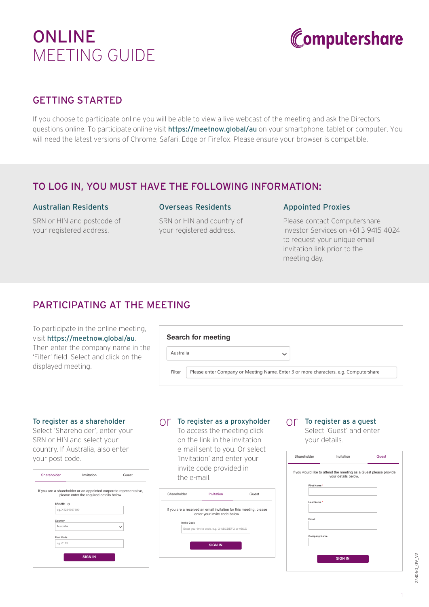# ONLINE MEETING GUIDE



# GETTING STARTED

If you choose to participate online you will be able to view a live webcast of the meeting and ask the Directors questions online. To participate online visit **https://meetnow.global/au** on your smartphone, tablet or computer. You will need the latest versions of Chrome, Safari, Edge or Firefox. Please ensure your browser is compatible.

### TO LOG IN, YOU MUST HAVE THE FOLLOWING INFORMATION:

#### Australian Residents

SRN or HIN and postcode of your registered address.

#### Overseas Residents

SRN or HIN and country of your registered address.

#### Appointed Proxies

Please contact Computershare Investor Services on +61 3 9415 4024 to request your unique email invitation link prior to the meeting day.

# PARTICIPATING AT THE MEETING

To participate in the online meeting, visit https://meetnow.global/au. Then enter the company name in the 'Filter' field. Select and click on the displayed meeting.

|                                                                                                | <b>Search for meeting</b> |  |
|------------------------------------------------------------------------------------------------|---------------------------|--|
| Australia                                                                                      | $\checkmark$              |  |
| Please enter Company or Meeting Name. Enter 3 or more characters. e.g. Computershare<br>Filter |                           |  |

#### To register as a shareholder

Select 'Shareholder', enter your SRN or HIN and select your country. If Australia, also enter your post code.

| Shareholder                  | Invitation                               | Guest                                                              |
|------------------------------|------------------------------------------|--------------------------------------------------------------------|
|                              | please enter the required details below. | If you are a shareholder or an appointed corporate representative, |
| SRN/HIN ®<br>eg. X1234567890 |                                          |                                                                    |
|                              |                                          |                                                                    |
| Country                      |                                          |                                                                    |
| Australia                    |                                          | $\checkmark$                                                       |
| Post Code                    |                                          |                                                                    |
| eg. 0123                     |                                          |                                                                    |
|                              | <b>SIGN IN</b>                           |                                                                    |

# $\bigcirc$  To register as a proxyholder  $\bigcirc$  To register as a guest

To access the meeting click on the link in the invitation e-mail sent to you. Or select 'Invitation' and enter your invite code provided in the e-mail.



Select 'Guest' and enter your details.

| Shareholder         | Invitation                                                                               | Guest |
|---------------------|------------------------------------------------------------------------------------------|-------|
|                     | If you would like to attend the meeting as a Guest please provide<br>your details below. |       |
| First Name*         |                                                                                          |       |
| Last Name*          |                                                                                          |       |
| Email               |                                                                                          |       |
| <b>Company Name</b> |                                                                                          |       |
|                     | <b>SIGN IN</b>                                                                           |       |

278060\_09\_V2 278060\_09\_V2